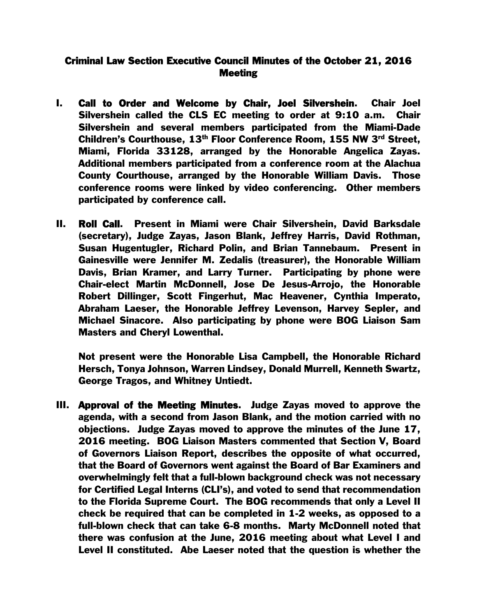## Criminal Law Section Executive Council Minutes of the October 21, 2016 **Meeting**

- I. Call to Order and Welcome by Chair, Joel Silvershein. Chair Joel Silvershein called the CLS EC meeting to order at 9:10 a.m. Chair Silvershein and several members participated from the Miami-Dade Children's Courthouse, 13th Floor Conference Room, 155 NW 3rd Street, Miami, Florida 33128, arranged by the Honorable Angelica Zayas. Additional members participated from a conference room at the Alachua County Courthouse, arranged by the Honorable William Davis. Those conference rooms were linked by video conferencing. Other members participated by conference call.
- II. Roll Call. Present in Miami were Chair Silvershein, David Barksdale (secretary), Judge Zayas, Jason Blank, Jeffrey Harris, David Rothman, Susan Hugentugler, Richard Polin, and Brian Tannebaum. Present in Gainesville were Jennifer M. Zedalis (treasurer), the Honorable William Davis, Brian Kramer, and Larry Turner. Participating by phone were Chair-elect Martin McDonnell, Jose De Jesus-Arrojo, the Honorable Robert Dillinger, Scott Fingerhut, Mac Heavener, Cynthia Imperato, Abraham Laeser, the Honorable Jeffrey Levenson, Harvey Sepler, and Michael Sinacore. Also participating by phone were BOG Liaison Sam Masters and Cheryl Lowenthal.

Not present were the Honorable Lisa Campbell, the Honorable Richard Hersch, Tonya Johnson, Warren Lindsey, Donald Murrell, Kenneth Swartz, George Tragos, and Whitney Untiedt.

III. Approval of the Meeting Minutes. Judge Zayas moved to approve the agenda, with a second from Jason Blank, and the motion carried with no objections. Judge Zayas moved to approve the minutes of the June 17, 2016 meeting. BOG Liaison Masters commented that Section V, Board of Governors Liaison Report, describes the opposite of what occurred, that the Board of Governors went against the Board of Bar Examiners and overwhelmingly felt that a full-blown background check was not necessary for Certified Legal Interns (CLI's), and voted to send that recommendation to the Florida Supreme Court. The BOG recommends that only a Level II check be required that can be completed in 1-2 weeks, as opposed to a full-blown check that can take 6-8 months. Marty McDonnell noted that there was confusion at the June, 2016 meeting about what Level I and Level II constituted. Abe Laeser noted that the question is whether the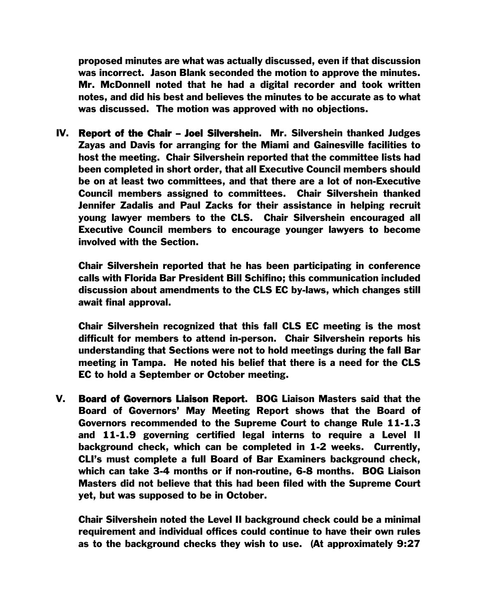proposed minutes are what was actually discussed, even if that discussion was incorrect. Jason Blank seconded the motion to approve the minutes. Mr. McDonnell noted that he had a digital recorder and took written notes, and did his best and believes the minutes to be accurate as to what was discussed. The motion was approved with no objections.

IV. Report of the Chair – Joel Silvershein. Mr. Silvershein thanked Judges Zayas and Davis for arranging for the Miami and Gainesville facilities to host the meeting. Chair Silvershein reported that the committee lists had been completed in short order, that all Executive Council members should be on at least two committees, and that there are a lot of non-Executive Council members assigned to committees. Chair Silvershein thanked Jennifer Zadalis and Paul Zacks for their assistance in helping recruit young lawyer members to the CLS. Chair Silvershein encouraged all Executive Council members to encourage younger lawyers to become involved with the Section.

Chair Silvershein reported that he has been participating in conference calls with Florida Bar President Bill Schifino; this communication included discussion about amendments to the CLS EC by-laws, which changes still await final approval.

Chair Silvershein recognized that this fall CLS EC meeting is the most difficult for members to attend in-person. Chair Silvershein reports his understanding that Sections were not to hold meetings during the fall Bar meeting in Tampa. He noted his belief that there is a need for the CLS EC to hold a September or October meeting.

V. Board of Governors Liaison Report. BOG Liaison Masters said that the Board of Governors' May Meeting Report shows that the Board of Governors recommended to the Supreme Court to change Rule 11-1.3 and 11-1.9 governing certified legal interns to require a Level II background check, which can be completed in 1-2 weeks. Currently, CLI's must complete a full Board of Bar Examiners background check, which can take 3-4 months or if non-routine, 6-8 months. BOG Liaison Masters did not believe that this had been filed with the Supreme Court yet, but was supposed to be in October.

Chair Silvershein noted the Level II background check could be a minimal requirement and individual offices could continue to have their own rules as to the background checks they wish to use. (At approximately 9:27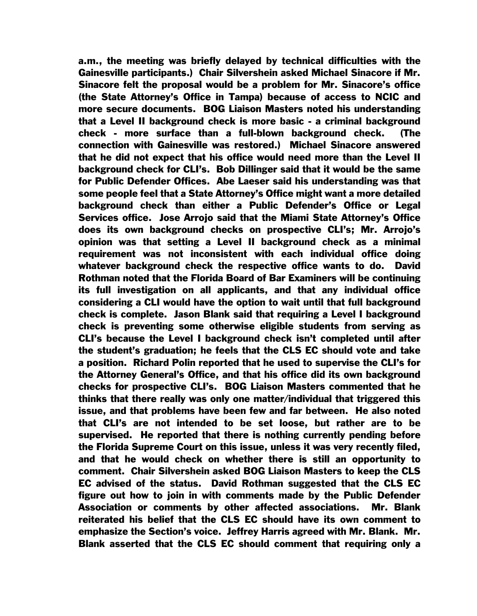a.m., the meeting was briefly delayed by technical difficulties with the Gainesville participants.) Chair Silvershein asked Michael Sinacore if Mr. Sinacore felt the proposal would be a problem for Mr. Sinacore's office (the State Attorney's Office in Tampa) because of access to NCIC and more secure documents. BOG Liaison Masters noted his understanding that a Level II background check is more basic - a criminal background check - more surface than a full-blown background check. (The connection with Gainesville was restored.) Michael Sinacore answered that he did not expect that his office would need more than the Level II background check for CLI's. Bob Dillinger said that it would be the same for Public Defender Offices. Abe Laeser said his understanding was that some people feel that a State Attorney's Office might want a more detailed background check than either a Public Defender's Office or Legal Services office. Jose Arrojo said that the Miami State Attorney's Office does its own background checks on prospective CLI's; Mr. Arrojo's opinion was that setting a Level II background check as a minimal requirement was not inconsistent with each individual office doing whatever background check the respective office wants to do. David Rothman noted that the Florida Board of Bar Examiners will be continuing its full investigation on all applicants, and that any individual office considering a CLI would have the option to wait until that full background check is complete. Jason Blank said that requiring a Level I background check is preventing some otherwise eligible students from serving as CLI's because the Level I background check isn't completed until after the student's graduation; he feels that the CLS EC should vote and take a position. Richard Polin reported that he used to supervise the CLI's for the Attorney General's Office, and that his office did its own background checks for prospective CLI's. BOG Liaison Masters commented that he thinks that there really was only one matter/individual that triggered this issue, and that problems have been few and far between. He also noted that CLI's are not intended to be set loose, but rather are to be supervised. He reported that there is nothing currently pending before the Florida Supreme Court on this issue, unless it was very recently filed, and that he would check on whether there is still an opportunity to comment. Chair Silvershein asked BOG Liaison Masters to keep the CLS EC advised of the status. David Rothman suggested that the CLS EC figure out how to join in with comments made by the Public Defender Association or comments by other affected associations. Mr. Blank reiterated his belief that the CLS EC should have its own comment to emphasize the Section's voice. Jeffrey Harris agreed with Mr. Blank. Mr. Blank asserted that the CLS EC should comment that requiring only a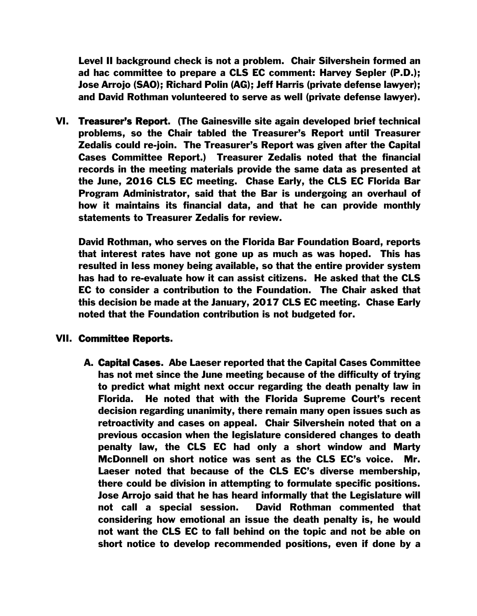Level II background check is not a problem. Chair Silvershein formed an ad hac committee to prepare a CLS EC comment: Harvey Sepler (P.D.); Jose Arrojo (SAO); Richard Polin (AG); Jeff Harris (private defense lawyer); and David Rothman volunteered to serve as well (private defense lawyer).

VI. Treasurer's Report. (The Gainesville site again developed brief technical problems, so the Chair tabled the Treasurer's Report until Treasurer Zedalis could re-join. The Treasurer's Report was given after the Capital Cases Committee Report.) Treasurer Zedalis noted that the financial records in the meeting materials provide the same data as presented at the June, 2016 CLS EC meeting. Chase Early, the CLS EC Florida Bar Program Administrator, said that the Bar is undergoing an overhaul of how it maintains its financial data, and that he can provide monthly statements to Treasurer Zedalis for review.

David Rothman, who serves on the Florida Bar Foundation Board, reports that interest rates have not gone up as much as was hoped. This has resulted in less money being available, so that the entire provider system has had to re-evaluate how it can assist citizens. He asked that the CLS EC to consider a contribution to the Foundation. The Chair asked that this decision be made at the January, 2017 CLS EC meeting. Chase Early noted that the Foundation contribution is not budgeted for.

## VII. Committee Reports.

A. Capital Cases. Abe Laeser reported that the Capital Cases Committee has not met since the June meeting because of the difficulty of trying to predict what might next occur regarding the death penalty law in Florida. He noted that with the Florida Supreme Court's recent decision regarding unanimity, there remain many open issues such as retroactivity and cases on appeal. Chair Silvershein noted that on a previous occasion when the legislature considered changes to death penalty law, the CLS EC had only a short window and Marty McDonnell on short notice was sent as the CLS EC's voice. Mr. Laeser noted that because of the CLS EC's diverse membership, there could be division in attempting to formulate specific positions. Jose Arrojo said that he has heard informally that the Legislature will not call a special session. David Rothman commented that considering how emotional an issue the death penalty is, he would not want the CLS EC to fall behind on the topic and not be able on short notice to develop recommended positions, even if done by a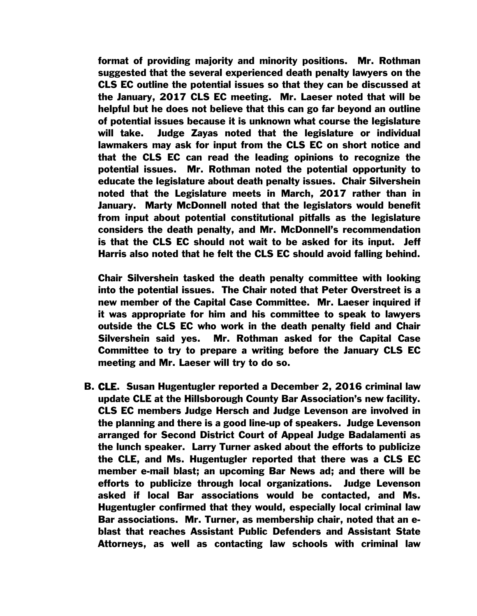format of providing majority and minority positions. Mr. Rothman suggested that the several experienced death penalty lawyers on the CLS EC outline the potential issues so that they can be discussed at the January, 2017 CLS EC meeting. Mr. Laeser noted that will be helpful but he does not believe that this can go far beyond an outline of potential issues because it is unknown what course the legislature will take. Judge Zayas noted that the legislature or individual lawmakers may ask for input from the CLS EC on short notice and that the CLS EC can read the leading opinions to recognize the potential issues. Mr. Rothman noted the potential opportunity to educate the legislature about death penalty issues. Chair Silvershein noted that the Legislature meets in March, 2017 rather than in January. Marty McDonnell noted that the legislators would benefit from input about potential constitutional pitfalls as the legislature considers the death penalty, and Mr. McDonnell's recommendation is that the CLS EC should not wait to be asked for its input. Jeff Harris also noted that he felt the CLS EC should avoid falling behind.

Chair Silvershein tasked the death penalty committee with looking into the potential issues. The Chair noted that Peter Overstreet is a new member of the Capital Case Committee. Mr. Laeser inquired if it was appropriate for him and his committee to speak to lawyers outside the CLS EC who work in the death penalty field and Chair Silvershein said yes. Mr. Rothman asked for the Capital Case Committee to try to prepare a writing before the January CLS EC meeting and Mr. Laeser will try to do so.

B. CLE. Susan Hugentugler reported a December 2, 2016 criminal law update CLE at the Hillsborough County Bar Association's new facility. CLS EC members Judge Hersch and Judge Levenson are involved in the planning and there is a good line-up of speakers. Judge Levenson arranged for Second District Court of Appeal Judge Badalamenti as the lunch speaker. Larry Turner asked about the efforts to publicize the CLE, and Ms. Hugentugler reported that there was a CLS EC member e-mail blast; an upcoming Bar News ad; and there will be efforts to publicize through local organizations. Judge Levenson asked if local Bar associations would be contacted, and Ms. Hugentugler confirmed that they would, especially local criminal law Bar associations. Mr. Turner, as membership chair, noted that an eblast that reaches Assistant Public Defenders and Assistant State Attorneys, as well as contacting law schools with criminal law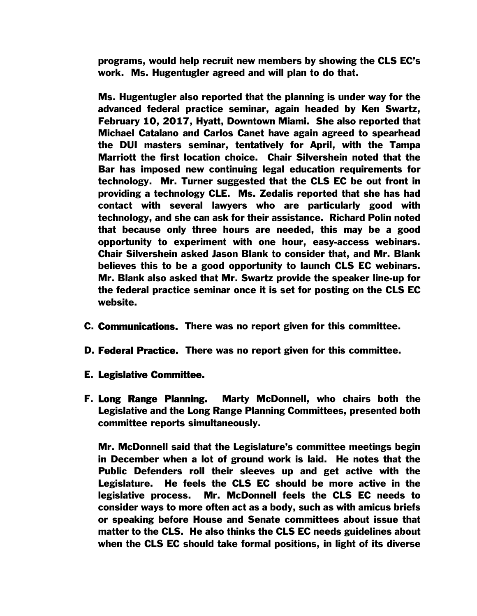programs, would help recruit new members by showing the CLS EC's work. Ms. Hugentugler agreed and will plan to do that.

Ms. Hugentugler also reported that the planning is under way for the advanced federal practice seminar, again headed by Ken Swartz, February 10, 2017, Hyatt, Downtown Miami. She also reported that Michael Catalano and Carlos Canet have again agreed to spearhead the DUI masters seminar, tentatively for April, with the Tampa Marriott the first location choice. Chair Silvershein noted that the Bar has imposed new continuing legal education requirements for technology. Mr. Turner suggested that the CLS EC be out front in providing a technology CLE. Ms. Zedalis reported that she has had contact with several lawyers who are particularly good with technology, and she can ask for their assistance. Richard Polin noted that because only three hours are needed, this may be a good opportunity to experiment with one hour, easy-access webinars. Chair Silvershein asked Jason Blank to consider that, and Mr. Blank believes this to be a good opportunity to launch CLS EC webinars. Mr. Blank also asked that Mr. Swartz provide the speaker line-up for the federal practice seminar once it is set for posting on the CLS EC website.

- C. Communications. There was no report given for this committee.
- D. Federal Practice. There was no report given for this committee.
- E. Legislative Committee.
- F. Long Range Planning. Marty McDonnell, who chairs both the Legislative and the Long Range Planning Committees, presented both committee reports simultaneously.

Mr. McDonnell said that the Legislature's committee meetings begin in December when a lot of ground work is laid. He notes that the Public Defenders roll their sleeves up and get active with the Legislature. He feels the CLS EC should be more active in the legislative process. Mr. McDonnell feels the CLS EC needs to consider ways to more often act as a body, such as with amicus briefs or speaking before House and Senate committees about issue that matter to the CLS. He also thinks the CLS EC needs guidelines about when the CLS EC should take formal positions, in light of its diverse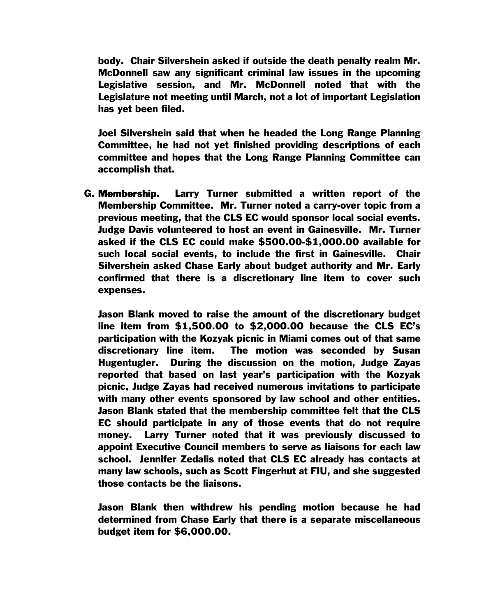body. Chair Silvershein asked if outside the death penalty realm Mr. McDonnell saw any significant criminal law issues in the upcoming Legislative session, and Mr. McDonnell noted that with the Legislature not meeting until March, not a lot of important Legislation has yet been filed.

Joel Silvershein said that when he headed the Long Range Planning Committee, he had not yet finished providing descriptions of each committee and hopes that the Long Range Planning Committee can accomplish that.

G. Membership. Larry Turner submitted a written report of the Membership Committee. Mr. Turner noted a carry-over topic from a previous meeting, that the CLS EC would sponsor local social events. Judge Davis volunteered to host an event in Gainesville. Mr. Turner asked if the CLS EC could make \$500.00-\$1,000.00 available for such local social events, to include the first in Gainesville. Chair Silvershein asked Chase Early about budget authority and Mr. Early confirmed that there is a discretionary line item to cover such expenses.

Jason Blank moved to raise the amount of the discretionary budget line item from \$1,500.00 to \$2,000.00 because the CLS EC's participation with the Kozyak picnic in Miami comes out of that same discretionary line item. The motion was seconded by Susan Hugentugler. During the discussion on the motion, Judge Zayas reported that based on last year's participation with the Kozyak picnic, Judge Zayas had received numerous invitations to participate with many other events sponsored by law school and other entities. Jason Blank stated that the membership committee felt that the CLS EC should participate in any of those events that do not require money. Larry Turner noted that it was previously discussed to appoint Executive Council members to serve as liaisons for each law school. Jennifer Zedalis noted that CLS EC already has contacts at many law schools, such as Scott Fingerhut at FIU, and she suggested those contacts be the liaisons.

Jason Blank then withdrew his pending motion because he had determined from Chase Early that there is a separate miscellaneous budget item for \$6,000.00.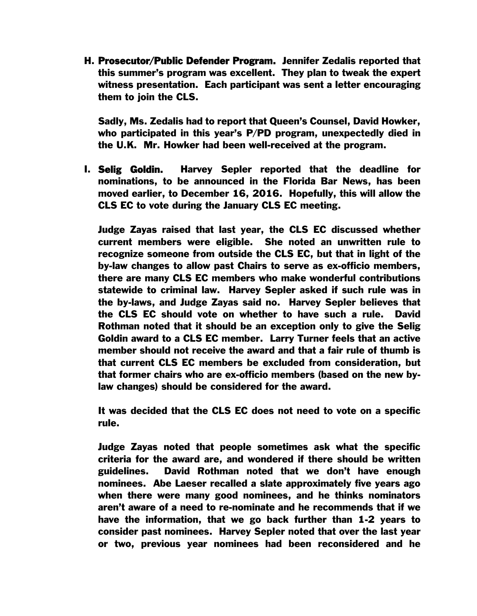H. Prosecutor/Public Defender Program. Jennifer Zedalis reported that this summer's program was excellent. They plan to tweak the expert witness presentation. Each participant was sent a letter encouraging them to join the CLS.

Sadly, Ms. Zedalis had to report that Queen's Counsel, David Howker, who participated in this year's P/PD program, unexpectedly died in the U.K. Mr. Howker had been well-received at the program.

I. Selig Goldin. Harvey Sepler reported that the deadline for nominations, to be announced in the Florida Bar News, has been moved earlier, to December 16, 2016. Hopefully, this will allow the CLS EC to vote during the January CLS EC meeting.

Judge Zayas raised that last year, the CLS EC discussed whether current members were eligible. She noted an unwritten rule to recognize someone from outside the CLS EC, but that in light of the by-law changes to allow past Chairs to serve as ex-officio members, there are many CLS EC members who make wonderful contributions statewide to criminal law. Harvey Sepler asked if such rule was in the by-laws, and Judge Zayas said no. Harvey Sepler believes that the CLS EC should vote on whether to have such a rule. David Rothman noted that it should be an exception only to give the Selig Goldin award to a CLS EC member. Larry Turner feels that an active member should not receive the award and that a fair rule of thumb is that current CLS EC members be excluded from consideration, but that former chairs who are ex-officio members (based on the new bylaw changes) should be considered for the award.

It was decided that the CLS EC does not need to vote on a specific rule.

Judge Zayas noted that people sometimes ask what the specific criteria for the award are, and wondered if there should be written guidelines. David Rothman noted that we don't have enough nominees. Abe Laeser recalled a slate approximately five years ago when there were many good nominees, and he thinks nominators aren't aware of a need to re-nominate and he recommends that if we have the information, that we go back further than 1-2 years to consider past nominees. Harvey Sepler noted that over the last year or two, previous year nominees had been reconsidered and he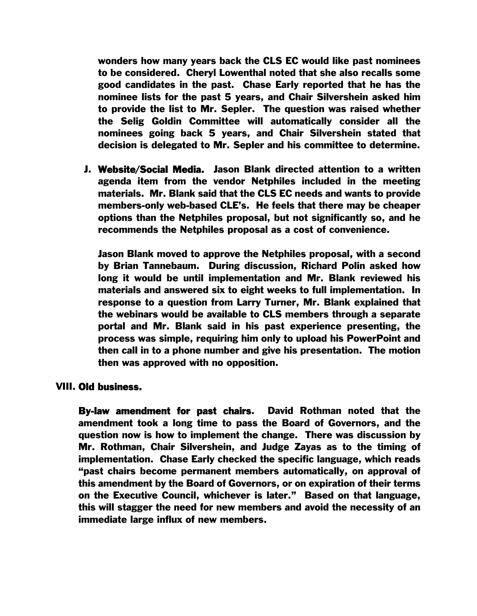wonders how many years back the CLS EC would like past nominees to be considered. Cheryl Lowenthal noted that she also recalls some good candidates in the past. Chase Early reported that he has the nominee lists for the past 5 years, and Chair Silvershein asked him to provide the list to Mr. Sepler. The question was raised whether the Selig Goldin Committee will automatically consider all the nominees going back 5 years, and Chair Silvershein stated that decision is delegated to Mr. Sepler and his committee to determine.

J. Website/Social Media. Jason Blank directed attention to a written agenda item from the vendor Netphiles included in the meeting materials. Mr. Blank said that the CLS EC needs and wants to provide members-only web-based CLE's. He feels that there may be cheaper options than the Netphiles proposal, but not significantly so, and he recommends the Netphiles proposal as a cost of convenience.

Jason Blank moved to approve the Netphiles proposal, with a second by Brian Tannebaum. During discussion, Richard Polin asked how long it would be until implementation and Mr. Blank reviewed his materials and answered six to eight weeks to full implementation. In response to a question from Larry Turner, Mr. Blank explained that the webinars would be available to CLS members through a separate portal and Mr. Blank said in his past experience presenting, the process was simple, requiring him only to upload his PowerPoint and then call in to a phone number and give his presentation. The motion then was approved with no opposition.

## VIII. Old business.

By-law amendment for past chairs. David Rothman noted that the amendment took a long time to pass the Board of Governors, and the question now is how to implement the change. There was discussion by Mr. Rothman, Chair Silvershein, and Judge Zayas as to the timing of implementation. Chase Early checked the specific language, which reads "past chairs become permanent members automatically, on approval of this amendment by the Board of Governors, or on expiration of their terms on the Executive Council, whichever is later." Based on that language, this will stagger the need for new members and avoid the necessity of an immediate large influx of new members.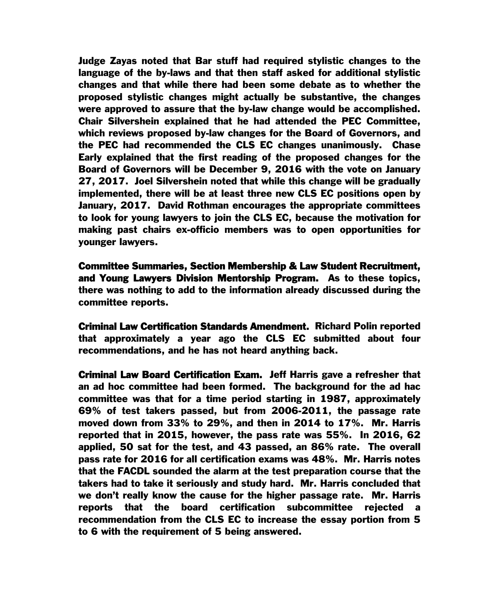Judge Zayas noted that Bar stuff had required stylistic changes to the language of the by-laws and that then staff asked for additional stylistic changes and that while there had been some debate as to whether the proposed stylistic changes might actually be substantive, the changes were approved to assure that the by-law change would be accomplished. Chair Silvershein explained that he had attended the PEC Committee, which reviews proposed by-law changes for the Board of Governors, and the PEC had recommended the CLS EC changes unanimously. Chase Early explained that the first reading of the proposed changes for the Board of Governors will be December 9, 2016 with the vote on January 27, 2017. Joel Silvershein noted that while this change will be gradually implemented, there will be at least three new CLS EC positions open by January, 2017. David Rothman encourages the appropriate committees to look for young lawyers to join the CLS EC, because the motivation for making past chairs ex-officio members was to open opportunities for younger lawyers.

Committee Summaries, Section Membership & Law Student Recruitment, and Young Lawyers Division Mentorship Program. As to these topics, there was nothing to add to the information already discussed during the committee reports.

Criminal Law Certification Standards Amendment. Richard Polin reported that approximately a year ago the CLS EC submitted about four recommendations, and he has not heard anything back.

Criminal Law Board Certification Exam. Jeff Harris gave a refresher that an ad hoc committee had been formed. The background for the ad hac committee was that for a time period starting in 1987, approximately 69% of test takers passed, but from 2006-2011, the passage rate moved down from 33% to 29%, and then in 2014 to 17%. Mr. Harris reported that in 2015, however, the pass rate was 55%. In 2016, 62 applied, 50 sat for the test, and 43 passed, an 86% rate. The overall pass rate for 2016 for all certification exams was 48%. Mr. Harris notes that the FACDL sounded the alarm at the test preparation course that the takers had to take it seriously and study hard. Mr. Harris concluded that we don't really know the cause for the higher passage rate. Mr. Harris reports that the board certification subcommittee rejected a recommendation from the CLS EC to increase the essay portion from 5 to 6 with the requirement of 5 being answered.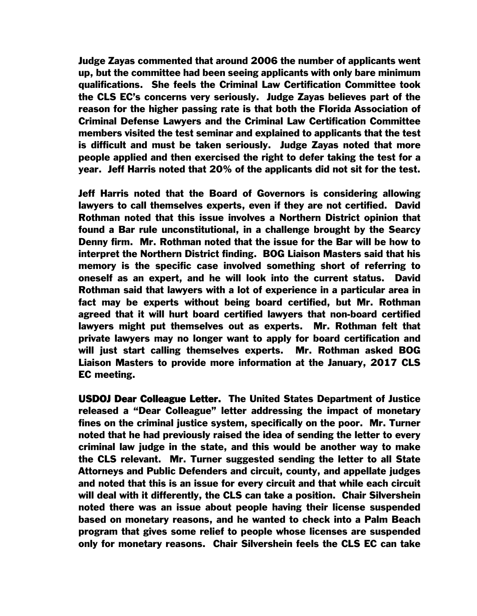Judge Zayas commented that around 2006 the number of applicants went up, but the committee had been seeing applicants with only bare minimum qualifications. She feels the Criminal Law Certification Committee took the CLS EC's concerns very seriously. Judge Zayas believes part of the reason for the higher passing rate is that both the Florida Association of Criminal Defense Lawyers and the Criminal Law Certification Committee members visited the test seminar and explained to applicants that the test is difficult and must be taken seriously. Judge Zayas noted that more people applied and then exercised the right to defer taking the test for a year. Jeff Harris noted that 20% of the applicants did not sit for the test.

Jeff Harris noted that the Board of Governors is considering allowing lawyers to call themselves experts, even if they are not certified. David Rothman noted that this issue involves a Northern District opinion that found a Bar rule unconstitutional, in a challenge brought by the Searcy Denny firm. Mr. Rothman noted that the issue for the Bar will be how to interpret the Northern District finding. BOG Liaison Masters said that his memory is the specific case involved something short of referring to oneself as an expert, and he will look into the current status. David Rothman said that lawyers with a lot of experience in a particular area in fact may be experts without being board certified, but Mr. Rothman agreed that it will hurt board certified lawyers that non-board certified lawyers might put themselves out as experts. Mr. Rothman felt that private lawyers may no longer want to apply for board certification and will just start calling themselves experts. Mr. Rothman asked BOG Liaison Masters to provide more information at the January, 2017 CLS EC meeting.

USDOJ Dear Colleague Letter. The United States Department of Justice released a "Dear Colleague" letter addressing the impact of monetary fines on the criminal justice system, specifically on the poor. Mr. Turner noted that he had previously raised the idea of sending the letter to every criminal law judge in the state, and this would be another way to make the CLS relevant. Mr. Turner suggested sending the letter to all State Attorneys and Public Defenders and circuit, county, and appellate judges and noted that this is an issue for every circuit and that while each circuit will deal with it differently, the CLS can take a position. Chair Silvershein noted there was an issue about people having their license suspended based on monetary reasons, and he wanted to check into a Palm Beach program that gives some relief to people whose licenses are suspended only for monetary reasons. Chair Silvershein feels the CLS EC can take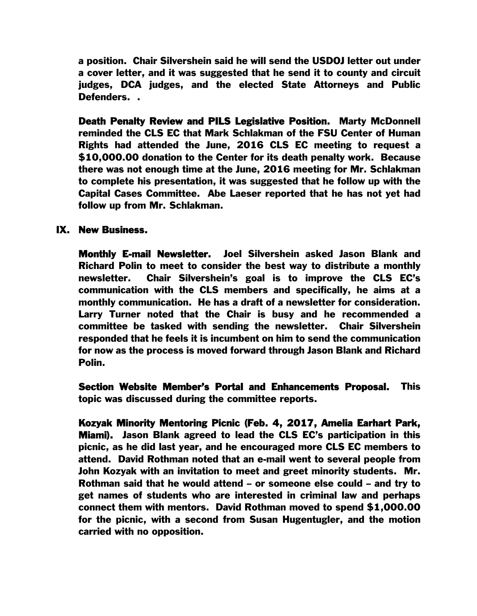a position. Chair Silvershein said he will send the USDOJ letter out under a cover letter, and it was suggested that he send it to county and circuit judges, DCA judges, and the elected State Attorneys and Public Defenders. .

Death Penalty Review and PILS Legislative Position. Marty McDonnell reminded the CLS EC that Mark Schlakman of the FSU Center of Human Rights had attended the June, 2016 CLS EC meeting to request a \$10,000.00 donation to the Center for its death penalty work. Because there was not enough time at the June, 2016 meeting for Mr. Schlakman to complete his presentation, it was suggested that he follow up with the Capital Cases Committee. Abe Laeser reported that he has not yet had follow up from Mr. Schlakman.

## IX. New Business.

Monthly E-mail Newsletter. Joel Silvershein asked Jason Blank and Richard Polin to meet to consider the best way to distribute a monthly newsletter. Chair Silvershein's goal is to improve the CLS EC's communication with the CLS members and specifically, he aims at a monthly communication. He has a draft of a newsletter for consideration. Larry Turner noted that the Chair is busy and he recommended a committee be tasked with sending the newsletter. Chair Silvershein responded that he feels it is incumbent on him to send the communication for now as the process is moved forward through Jason Blank and Richard Polin.

Section Website Member's Portal and Enhancements Proposal. This topic was discussed during the committee reports.

Kozyak Minority Mentoring Picnic (Feb. 4, 2017, Amelia Earhart Park, Miami). Jason Blank agreed to lead the CLS EC's participation in this picnic, as he did last year, and he encouraged more CLS EC members to attend. David Rothman noted that an e-mail went to several people from John Kozyak with an invitation to meet and greet minority students. Mr. Rothman said that he would attend – or someone else could – and try to get names of students who are interested in criminal law and perhaps connect them with mentors. David Rothman moved to spend \$1,000.00 for the picnic, with a second from Susan Hugentugler, and the motion carried with no opposition.